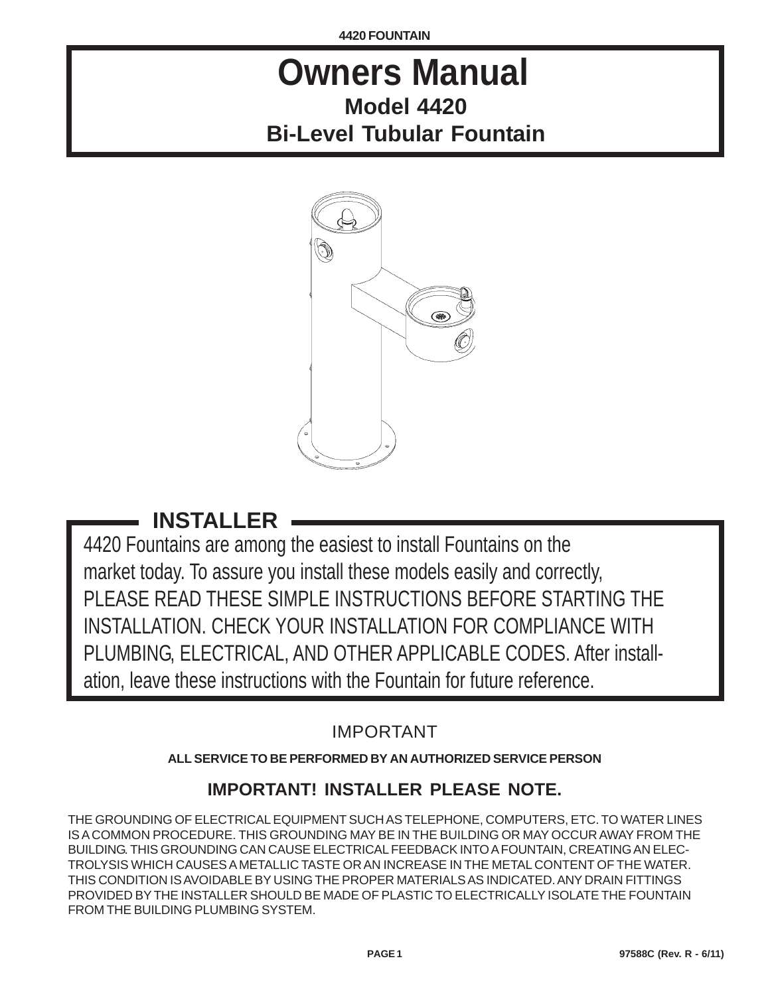**4420 FOUNTAIN**

# **Owners Manual Model 4420 Bi-Level Tubular Fountain**



# **INSTALLER**

4420 Fountains are among the easiest to install Fountains on the market today. To assure you install these models easily and correctly, PLEASE READ THESE SIMPLE INSTRUCTIONS BEFORE STARTING THE INSTALLATION. CHECK YOUR INSTALLATION FOR COMPLIANCE WITH PLUMBING, ELECTRICAL, AND OTHER APPLICABLE CODES. After installation, leave these instructions with the Fountain for future reference.

IMPORTANT

# **ALL SERVICE TO BE PERFORMED BY AN AUTHORIZED SERVICE PERSON**

# **IMPORTANT! INSTALLER PLEASE NOTE.**

THE GROUNDING OF ELECTRICAL EQUIPMENT SUCH AS TELEPHONE, COMPUTERS, ETC. TO WATER LINES IS A COMMON PROCEDURE. THIS GROUNDING MAY BE IN THE BUILDING OR MAY OCCUR AWAY FROM THE BUILDING. THIS GROUNDING CAN CAUSE ELECTRICAL FEEDBACK INTO A FOUNTAIN, CREATING AN ELEC-TROLYSIS WHICH CAUSES A METALLIC TASTE OR AN INCREASE IN THE METAL CONTENT OF THE WATER. THIS CONDITION IS AVOIDABLE BY USING THE PROPER MATERIALS AS INDICATED. ANY DRAIN FITTINGS PROVIDED BY THE INSTALLER SHOULD BE MADE OF PLASTIC TO ELECTRICALLY ISOLATE THE FOUNTAIN FROM THE BUILDING PLUMBING SYSTEM.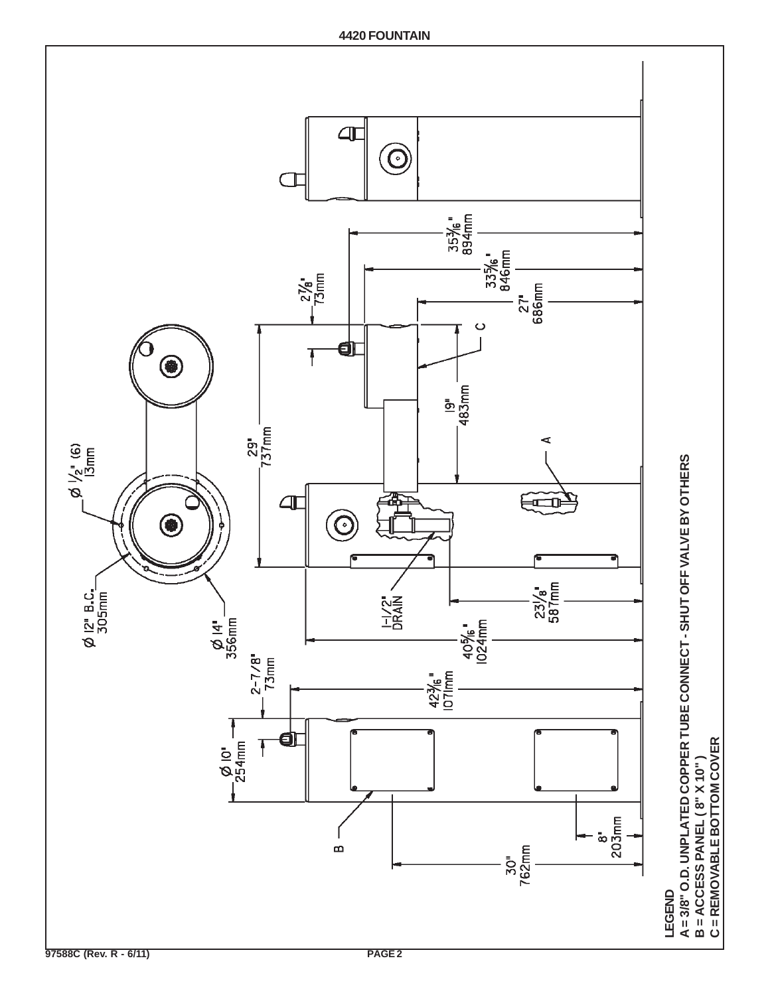

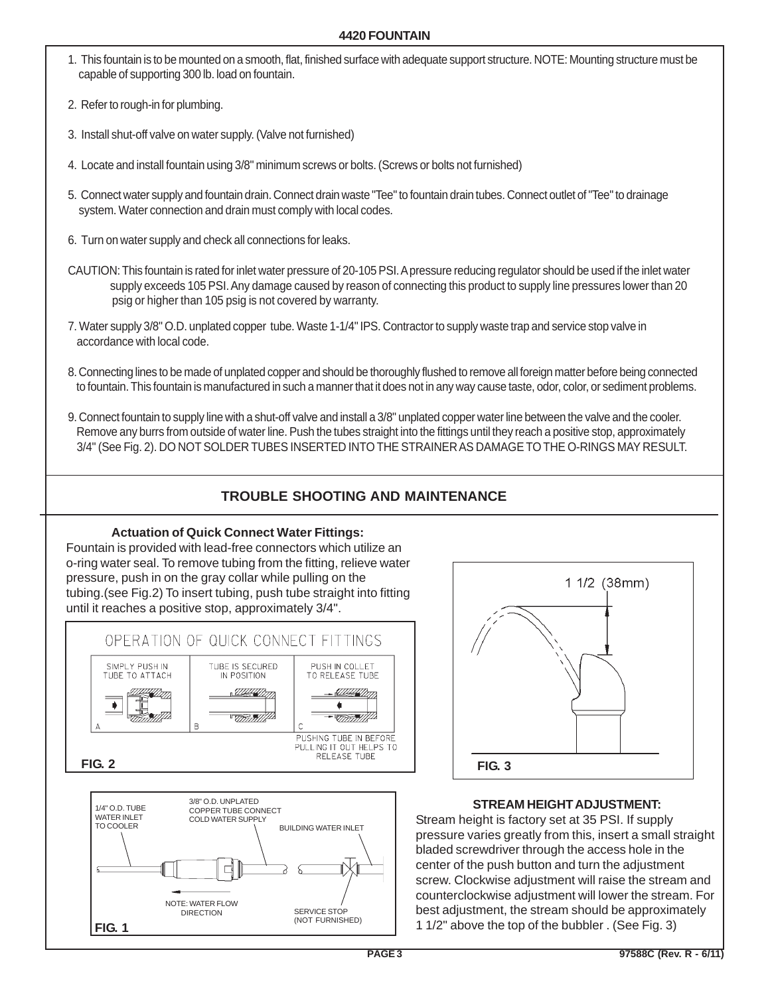#### **4420 FOUNTAIN**

- 1. This fountain is to be mounted on a smooth, flat, finished surface with adequate support structure. NOTE: Mounting structure must be capable of supporting 300 lb. load on fountain.
- 2. Refer to rough-in for plumbing.
- 3. Install shut-off valve on water supply. (Valve not furnished)
- 4. Locate and install fountain using 3/8" minimum screws or bolts. (Screws or bolts not furnished)
- 5. Connect water supply and fountain drain. Connect drain waste "Tee" to fountain drain tubes. Connect outlet of "Tee" to drainage system. Water connection and drain must comply with local codes.
- 6. Turn on water supply and check all connections for leaks.
- CAUTION: This fountain is rated for inlet water pressure of 20-105 PSI. A pressure reducing regulator should be used if the inlet water supply exceeds 105 PSI. Any damage caused by reason of connecting this product to supply line pressures lower than 20 psig or higher than 105 psig is not covered by warranty.
- 7. Water supply 3/8" O.D. unplated copper tube. Waste 1-1/4" IPS. Contractor to supply waste trap and service stop valve in accordance with local code.
- 8. Connecting lines to be made of unplated copper and should be thoroughly flushed to remove all foreign matter before being connected to fountain. This fountain is manufactured in such a manner that it does not in any way cause taste, odor, color, or sediment problems.
- 9. Connect fountain to supply line with a shut-off valve and install a 3/8" unplated copper water line between the valve and the cooler. Remove any burrs from outside of water line. Push the tubes straight into the fittings until they reach a positive stop, approximately 3/4" (See Fig. 2). DO NOT SOLDER TUBES INSERTED INTO THE STRAINER AS DAMAGE TO THE O-RINGS MAY RESULT.

## **TROUBLE SHOOTING AND MAINTENANCE**

#### **Actuation of Quick Connect Water Fittings:**

Fountain is provided with lead-free connectors which utilize an o-ring water seal. To remove tubing from the fitting, relieve water pressure, push in on the gray collar while pulling on the tubing.(see Fig.2) To insert tubing, push tube straight into fitting until it reaches a positive stop, approximately 3/4".







### **STREAM HEIGHT ADJUSTMENT:**

Stream height is factory set at 35 PSI. If supply pressure varies greatly from this, insert a small straight bladed screwdriver through the access hole in the center of the push button and turn the adjustment screw. Clockwise adjustment will raise the stream and counterclockwise adjustment will lower the stream. For best adjustment, the stream should be approximately 1 1/2" above the top of the bubbler . (See Fig. 3)